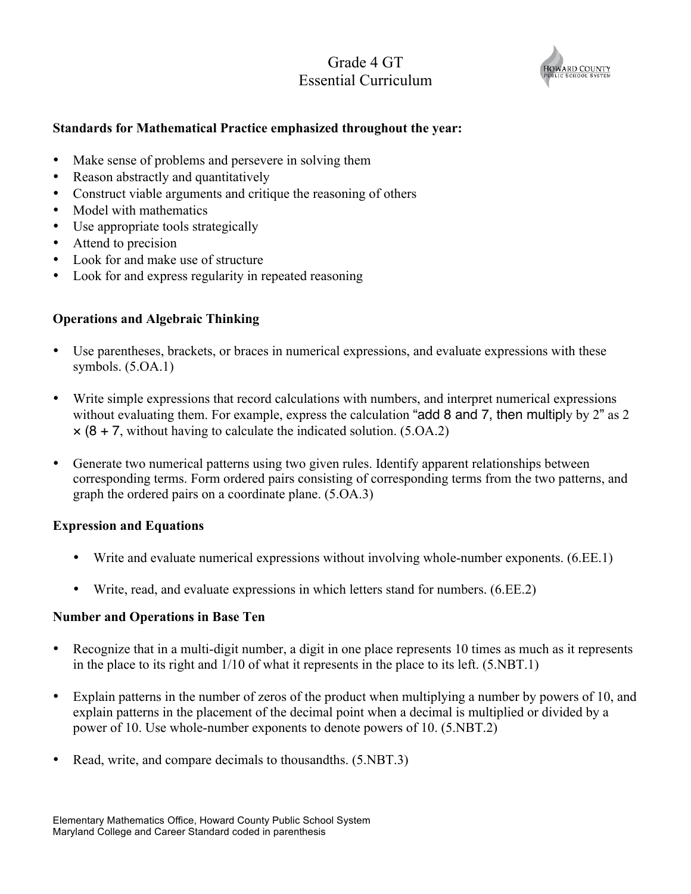# Grade 4 GT Essential Curriculum



#### **Standards for Mathematical Practice emphasized throughout the year:**

- Make sense of problems and persevere in solving them
- Reason abstractly and quantitatively
- Construct viable arguments and critique the reasoning of others
- Model with mathematics
- Use appropriate tools strategically
- Attend to precision
- Look for and make use of structure
- Look for and express regularity in repeated reasoning

### **Operations and Algebraic Thinking**

- Use parentheses, brackets, or braces in numerical expressions, and evaluate expressions with these symbols. (5.OA.1)
- Write simple expressions that record calculations with numbers, and interpret numerical expressions without evaluating them. For example, express the calculation "add 8 and 7, then multiply by 2" as 2  $\times$  (8 + 7, without having to calculate the indicated solution. (5.0A.2)
- Generate two numerical patterns using two given rules. Identify apparent relationships between corresponding terms. Form ordered pairs consisting of corresponding terms from the two patterns, and graph the ordered pairs on a coordinate plane. (5.OA.3)

#### **Expression and Equations**

- Write and evaluate numerical expressions without involving whole-number exponents. (6.EE.1)
- Write, read, and evaluate expressions in which letters stand for numbers. (6.EE.2)

#### **Number and Operations in Base Ten**

- Recognize that in a multi-digit number, a digit in one place represents 10 times as much as it represents in the place to its right and 1/10 of what it represents in the place to its left. (5.NBT.1)
- Explain patterns in the number of zeros of the product when multiplying a number by powers of 10, and explain patterns in the placement of the decimal point when a decimal is multiplied or divided by a power of 10. Use whole-number exponents to denote powers of 10. (5.NBT.2)
- Read, write, and compare decimals to thousandths.  $(5. \text{NBT}.3)$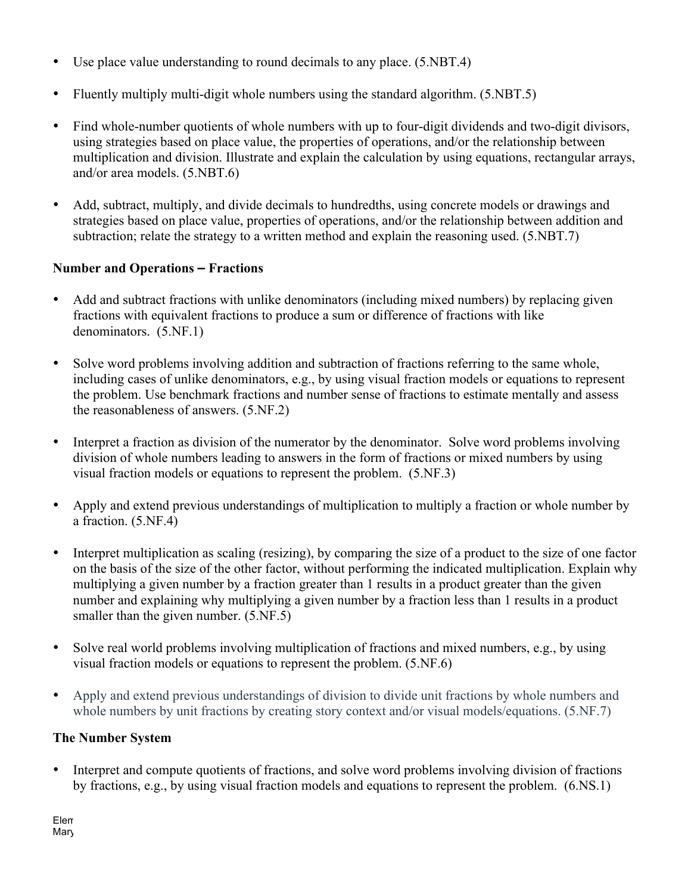- Use place value understanding to round decimals to any place. (5.NBT.4)
- Fluently multiply multi-digit whole numbers using the standard algorithm. (5.NBT.5)
- Find whole-number quotients of whole numbers with up to four-digit dividends and two-digit divisors, using strategies based on place value, the properties of operations, and/or the relationship between multiplication and division. Illustrate and explain the calculation by using equations, rectangular arrays, and/or area models. (5.NBT.6)
- Add, subtract, multiply, and divide decimals to hundredths, using concrete models or drawings and strategies based on place value, properties of operations, and/or the relationship between addition and subtraction; relate the strategy to a written method and explain the reasoning used. (5.NBT.7)

# **Number and Operations – Fractions**

- Add and subtract fractions with unlike denominators (including mixed numbers) by replacing given fractions with equivalent fractions to produce a sum or difference of fractions with like denominators. (5.NF.1)
- Solve word problems involving addition and subtraction of fractions referring to the same whole, including cases of unlike denominators, e.g., by using visual fraction models or equations to represent the problem. Use benchmark fractions and number sense of fractions to estimate mentally and assess the reasonableness of answers. (5.NF.2)
- Interpret a fraction as division of the numerator by the denominator. Solve word problems involving division of whole numbers leading to answers in the form of fractions or mixed numbers by using visual fraction models or equations to represent the problem. (5.NF.3)
- Apply and extend previous understandings of multiplication to multiply a fraction or whole number by a fraction. (5.NF.4)
- Interpret multiplication as scaling (resizing), by comparing the size of a product to the size of one factor on the basis of the size of the other factor, without performing the indicated multiplication. Explain why multiplying a given number by a fraction greater than 1 results in a product greater than the given number and explaining why multiplying a given number by a fraction less than 1 results in a product smaller than the given number.  $(5.\text{NF}.5)$
- Solve real world problems involving multiplication of fractions and mixed numbers, e.g., by using visual fraction models or equations to represent the problem. (5.NF.6)
- Apply and extend previous understandings of division to divide unit fractions by whole numbers and whole numbers by unit fractions by creating story context and/or visual models/equations. (5.NF.7)

### **The Number System**

• Interpret and compute quotients of fractions, and solve word problems involving division of fractions by fractions, e.g., by using visual fraction models and equations to represent the problem. (6.NS.1)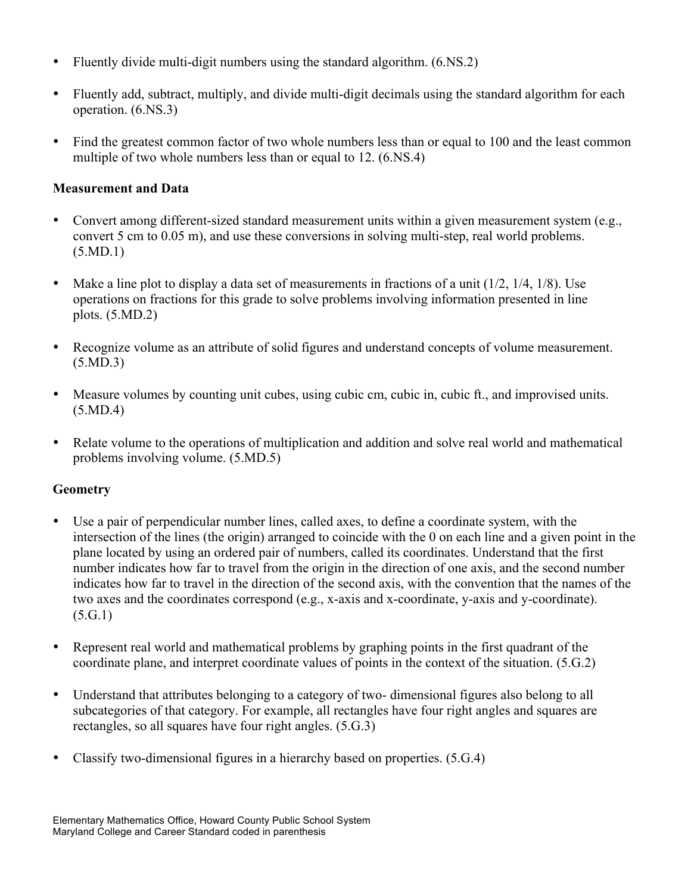- Fluently divide multi-digit numbers using the standard algorithm.  $(6.NS.2)$
- Fluently add, subtract, multiply, and divide multi-digit decimals using the standard algorithm for each operation. (6.NS.3)
- Find the greatest common factor of two whole numbers less than or equal to 100 and the least common multiple of two whole numbers less than or equal to 12. (6.NS.4)

# **Measurement and Data**

- Convert among different-sized standard measurement units within a given measurement system (e.g., convert 5 cm to 0.05 m), and use these conversions in solving multi-step, real world problems. (5.MD.1)
- Make a line plot to display a data set of measurements in fractions of a unit  $(1/2, 1/4, 1/8)$ . Use operations on fractions for this grade to solve problems involving information presented in line plots. (5.MD.2)
- Recognize volume as an attribute of solid figures and understand concepts of volume measurement. (5.MD.3)
- Measure volumes by counting unit cubes, using cubic cm, cubic in, cubic ft., and improvised units. (5.MD.4)
- Relate volume to the operations of multiplication and addition and solve real world and mathematical problems involving volume. (5.MD.5)

### **Geometry**

- Use a pair of perpendicular number lines, called axes, to define a coordinate system, with the intersection of the lines (the origin) arranged to coincide with the 0 on each line and a given point in the plane located by using an ordered pair of numbers, called its coordinates. Understand that the first number indicates how far to travel from the origin in the direction of one axis, and the second number indicates how far to travel in the direction of the second axis, with the convention that the names of the two axes and the coordinates correspond (e.g., x-axis and x-coordinate, y-axis and y-coordinate).  $(5.G.1)$
- Represent real world and mathematical problems by graphing points in the first quadrant of the coordinate plane, and interpret coordinate values of points in the context of the situation. (5.G.2)
- Understand that attributes belonging to a category of two- dimensional figures also belong to all subcategories of that category. For example, all rectangles have four right angles and squares are rectangles, so all squares have four right angles. (5.G.3)
- Classify two-dimensional figures in a hierarchy based on properties. (5.G.4)